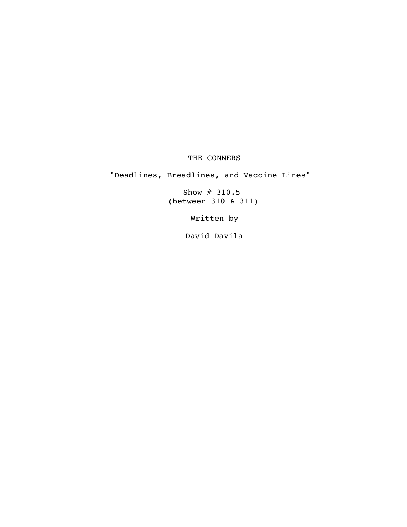#### THE CONNERS

"Deadlines, Breadlines, and Vaccine Lines"

Show # 310.5 (between 310 & 311)

Written by

David Davila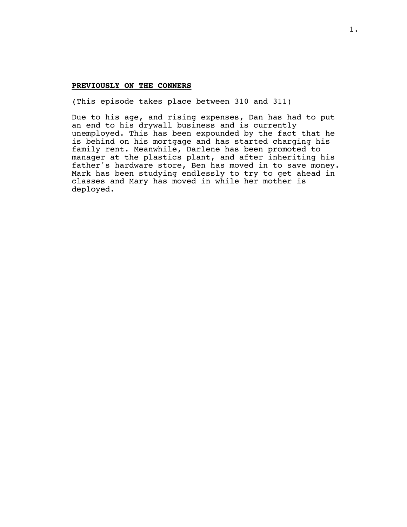#### PREVIOUSLY ON THE CONNERS

(This episode takes place between 310 and 311)

Due to his age, and rising expenses, Dan has had to put an end to his drywall business and is currently unemployed. This has been expounded by the fact that he is behind on his mortgage and has started charging his family rent. Meanwhile, Darlene has been promoted to manager at the plastics plant, and after inheriting his father's hardware store, Ben has moved in to save money. Mark has been studying endlessly to try to get ahead in classes and Mary has moved in while her mother is deployed.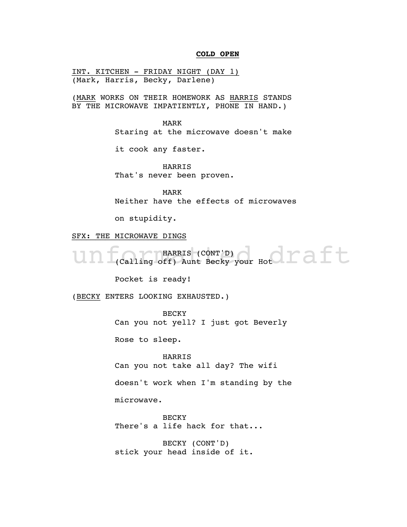#### **COLD OPEN** \_\_\_\_\_\_\_\_\_

INT. KITCHEN - FRIDAY NIGHT (DAY 1) (Mark, Harris, Becky, Darlene)

(MARK WORKS ON THEIR HOMEWORK AS HARRIS STANDS BY THE MICROWAVE IMPATIENTLY, PHONE IN HAND.)

> MARK Staring at the microwave doesn't make

it cook any faster.

HARRIS That's never been proven.

MARK Neither have the effects of microwaves

on stupidity.

SFX: THE MICROWAVE DINGS

Un f(Calling off) Aunt Becky your Hot C C Ft HARRIS (CONT'D) (Calling off) Aunt Becky your Hot

Pocket is ready!

(BECKY ENTERS LOOKING EXHAUSTED.)

**BECKY** 

Can you not yell? I just got Beverly

Rose to sleep.

HARRIS Can you not take all day? The wifi

doesn't work when I'm standing by the

microwave.

**BECKY** There's a life hack for that...

BECKY (CONT'D) stick your head inside of it.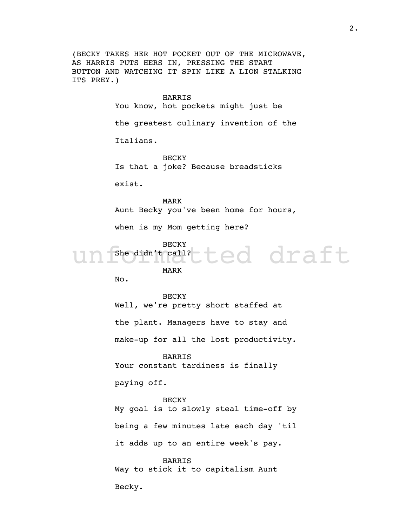(BECKY TAKES HER HOT POCKET OUT OF THE MICROWAVE, AS HARRIS PUTS HERS IN, PRESSING THE START BUTTON AND WATCHING IT SPIN LIKE A LION STALKING ITS PREY.)

HARRIS

You know, hot pockets might just be

the greatest culinary invention of the

Italians.

**BECKY** Is that a joke? Because breadsticks

exist.

MARK Aunt Becky you've been home for hours,

when is my Mom getting here?

BECKY

ted draft She didn't call?

MARK

No.

BECKY Well, we're pretty short staffed at the plant. Managers have to stay and make-up for all the lost productivity.

HARRIS Your constant tardiness is finally

paying off.

BECKY My goal is to slowly steal time-off by being a few minutes late each day 'til it adds up to an entire week's pay.

HARRIS Way to stick it to capitalism Aunt

Becky.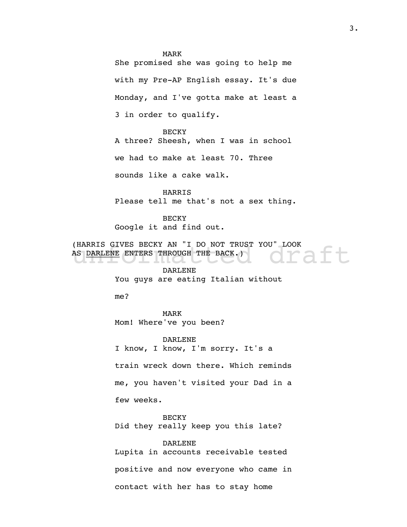#### MARK

She promised she was going to help me with my Pre-AP English essay. It's due Monday, and I've gotta make at least a 3 in order to qualify.

**BECKY** A three? Sheesh, when I was in school we had to make at least 70. Three

sounds like a cake walk.

HARRIS Please tell me that's not a sex thing.

BECKY Google it and find out.

(HARRIS GIVES BECKY AN "I DO NOT TRUST YOU" LOOK<br>AS <u>DARLENE</u> ENTERS THROUGH THE BACK.) (HARRIS GIVES BECKY AN "I DO NOT TRUST YOU" LOOK AS DARLENE ENTERS THROUGH THE BACK.)

DARLENE You guys are eating Italian without

me?

MARK Mom! Where've you been?

DARLENE I know, I know, I'm sorry. It's a

train wreck down there. Which reminds

me, you haven't visited your Dad in a

few weeks.

**BECKY** Did they really keep you this late?

DARLENE Lupita in accounts receivable tested positive and now everyone who came in contact with her has to stay home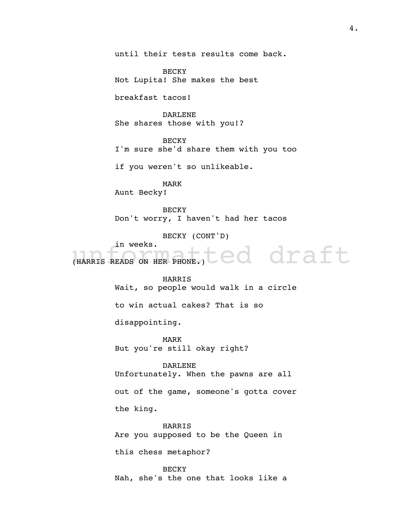until their tests results come back.

BECKY Not Lupita! She makes the best

breakfast tacos!

DARLENE She shares those with you!?

BECKY I'm sure she'd share them with you too

if you weren't so unlikeable.

MARK Aunt Becky!

**BECKY** Don't worry, I haven't had her tacos

BECKY (CONT'D)

in weeks.

UN WEEKS.<br>(HARRIS READS ON HER PHONE.) COOK OF A Ft

HARRIS

Wait, so people would walk in a circle

to win actual cakes? That is so

disappointing.

MARK But you're still okay right?

DARLENE

Unfortunately. When the pawns are all

out of the game, someone's gotta cover

the king.

HARRIS Are you supposed to be the Queen in

this chess metaphor?

**BECKY** Nah, she's the one that looks like a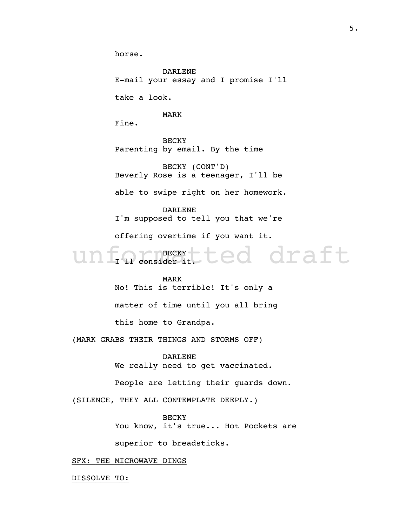horse.

DARLENE E-mail your essay and I promise I'll

take a look.

MARK

Fine.

BECKY Parenting by email. By the time

BECKY (CONT'D) Beverly Rose is a teenager, I'll be

able to swipe right on her homework.

DARLENE I'm supposed to tell you that we're offering overtime if you want it.

unformatted draft BECKY I'll consider it.

> MARK No! This is terrible! It's only a matter of time until you all bring this home to Grandpa.

(MARK GRABS THEIR THINGS AND STORMS OFF)

DARLENE We really need to get vaccinated.

People are letting their guards down.

(SILENCE, THEY ALL CONTEMPLATE DEEPLY.)

**BECKY** You know, it's true... Hot Pockets are superior to breadsticks.

SFX: THE MICROWAVE DINGS

DISSOLVE TO: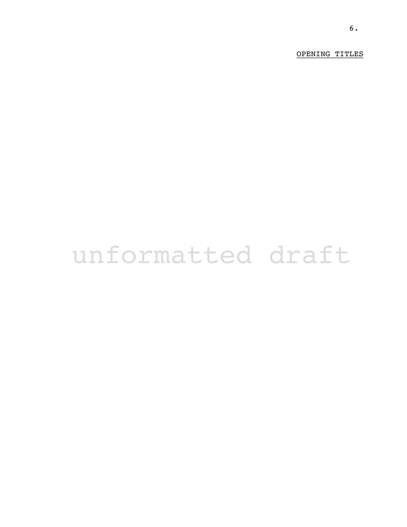OPENING TITLES

# unformatted draft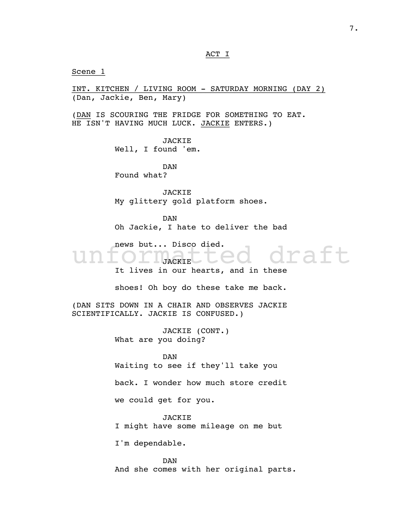ACT I

Scene 1

INT. KITCHEN / LIVING ROOM - SATURDAY MORNING (DAY 2) (Dan, Jackie, Ben, Mary)

(DAN IS SCOURING THE FRIDGE FOR SOMETHING TO EAT. HE ISN'T HAVING MUCH LUCK. JACKIE ENTERS.)

> JACKIE Well, I found 'em.

DAN Found what?

JACKIE My glittery gold platform shoes.

DAN Oh Jackie, I hate to deliver the bad

news but... Disco died.

raft **JACKIE** It lives in our hearts, and in these

shoes! Oh boy do these take me back.

(DAN SITS DOWN IN A CHAIR AND OBSERVES JACKIE SCIENTIFICALLY. JACKIE IS CONFUSED.)

> JACKIE (CONT.) What are you doing?

DAN Waiting to see if they'll take you

back. I wonder how much store credit

we could get for you.

JACKIE I might have some mileage on me but

I'm dependable.

DAN And she comes with her original parts.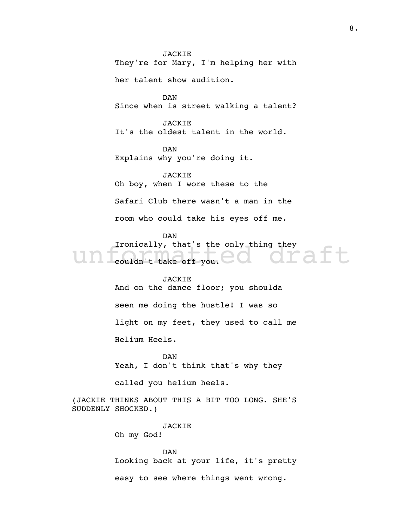JACKIE They're for Mary, I'm helping her with her talent show audition. DAN Since when is street walking a talent? JACKIE It's the oldest talent in the world. DAN Explains why you're doing it. JACKIE Oh boy, when I wore these to the Safari Club there wasn't a man in the room who could take his eyes off me. DAN

draft Ironically, that's the only thing they couldn't take off you.

#### JACKIE

And on the dance floor; you shoulda seen me doing the hustle! I was so light on my feet, they used to call me Helium Heels.

DAN Yeah, I don't think that's why they

called you helium heels.

(JACKIE THINKS ABOUT THIS A BIT TOO LONG. SHE'S SUDDENLY SHOCKED.)

> JACKIE Oh my God!

DAN Looking back at your life, it's pretty easy to see where things went wrong.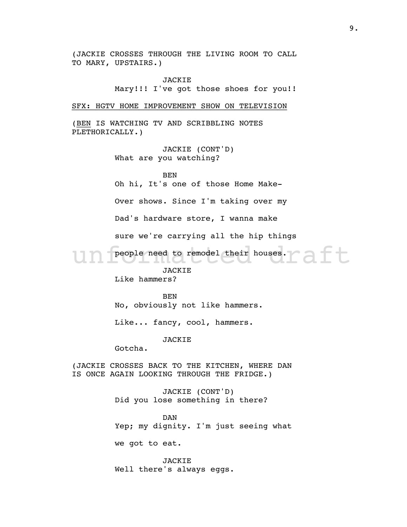(JACKIE CROSSES THROUGH THE LIVING ROOM TO CALL TO MARY, UPSTAIRS.)

> JACKIE Mary!!! I've got those shoes for you!!

SFX: HGTV HOME IMPROVEMENT SHOW ON TELEVISION

(BEN IS WATCHING TV AND SCRIBBLING NOTES PLETHORICALLY.)

> JACKIE (CONT'D) What are you watching?

BEN Oh hi, It's one of those Home Make-

Over shows. Since I'm taking over my

Dad's hardware store, I wanna make

sure we're carrying all the hip things

Un people need to remodel their houses. people need to remodel their houses.

JACKIE

Like hammers?

BEN

No, obviously not like hammers.

Like... fancy, cool, hammers.

**JACKIE** 

Gotcha.

(JACKIE CROSSES BACK TO THE KITCHEN, WHERE DAN IS ONCE AGAIN LOOKING THROUGH THE FRIDGE.)

> JACKIE (CONT'D) Did you lose something in there?

DAN Yep; my dignity. I'm just seeing what

we got to eat.

JACKIE Well there's always eggs.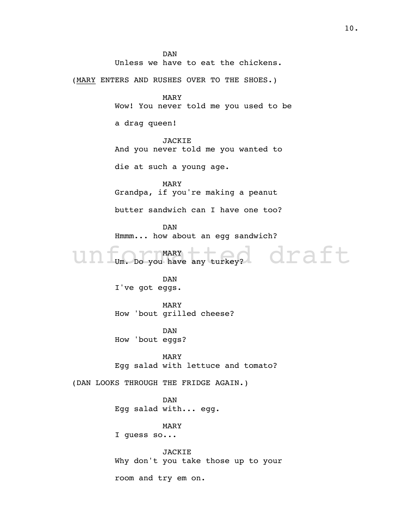unf<sub>um</sub>. Do you have any turkey? draft DAN Unless we have to eat the chickens. (MARY ENTERS AND RUSHES OVER TO THE SHOES.) MARY Wow! You never told me you used to be a drag queen! JACKIE And you never told me you wanted to die at such a young age. MARY Grandpa, if you're making a peanut butter sandwich can I have one too? DAN Hmmm... how about an egg sandwich? MARY Um. Do you have any turkey? DAN I've got eggs. MARY How 'bout grilled cheese? DAN How 'bout eggs? MARY Egg salad with lettuce and tomato? (DAN LOOKS THROUGH THE FRIDGE AGAIN.) DAN Egg salad with... egg. MARY I guess so... JACKIE Why don't you take those up to your room and try em on.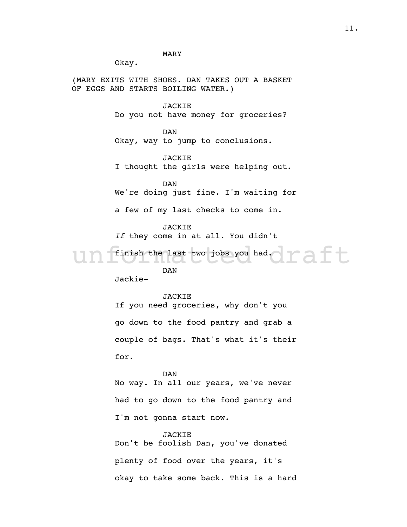MARY

Okay.

(MARY EXITS WITH SHOES. DAN TAKES OUT A BASKET OF EGGS AND STARTS BOILING WATER.)

JACKIE

Do you not have money for groceries?

DAN Okay, way to jump to conclusions.

JACKIE I thought the girls were helping out.

DAN We're doing just fine. I'm waiting for

a few of my last checks to come in.

JACKIE

If they come in at all. You didn't

Un finish the last two jobs you had. Taft finish the last two jobs you had.

DAN

Jackie-

#### JACKIE

If you need groceries, why don't you go down to the food pantry and grab a couple of bags. That's what it's their for.

DAN No way. In all our years, we've never had to go down to the food pantry and I'm not gonna start now.

**JACKIE** Don't be foolish Dan, you've donated plenty of food over the years, it's okay to take some back. This is a hard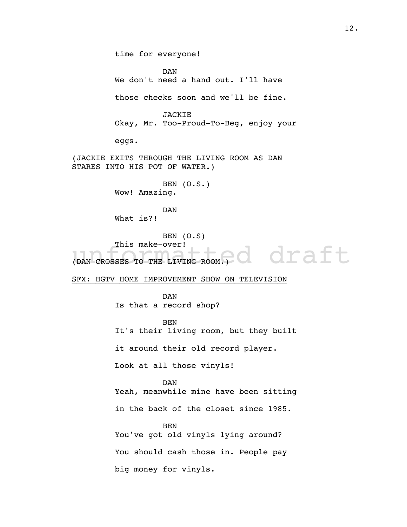l draft time for everyone! DAN We don't need a hand out. I'll have those checks soon and we'll be fine. JACKIE Okay, Mr. Too-Proud-To-Beg, enjoy your eggs. (JACKIE EXITS THROUGH THE LIVING ROOM AS DAN STARES INTO HIS POT OF WATER.) BEN (O.S.) Wow! Amazing. DAN What is?! BEN (O.S) This make-over! (DAN CROSSES TO THE LIVING ROOM.) SFX: HGTV HOME IMPROVEMENT SHOW ON TELEVISION DAN Is that a record shop? BEN It's their living room, but they built it around their old record player. Look at all those vinyls! DAN Yeah, meanwhile mine have been sitting in the back of the closet since 1985. BEN You've got old vinyls lying around? You should cash those in. People pay big money for vinyls.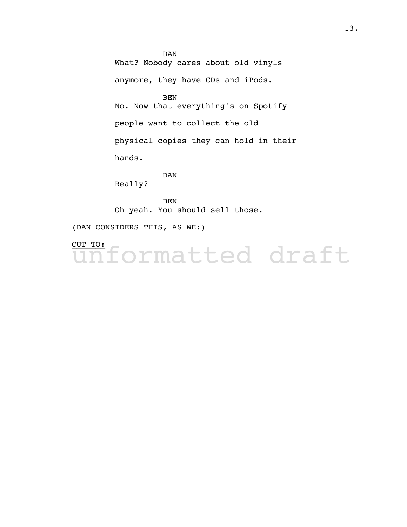DAN What? Nobody cares about old vinyls anymore, they have CDs and iPods. BEN No. Now that everything's on Spotify people want to collect the old physical copies they can hold in their hands. DAN

Really?

BEN Oh yeah. You should sell those.

(DAN CONSIDERS THIS, AS WE:)

iformatted draft CUT TO: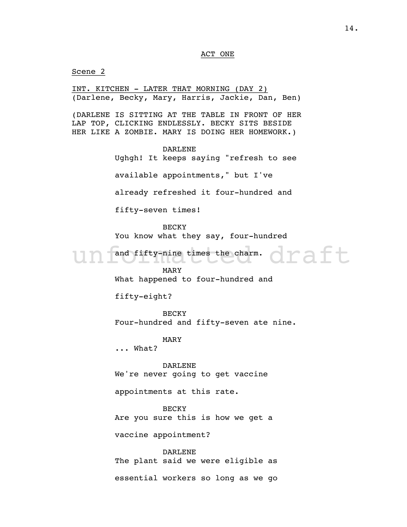#### ACT ONE

Scene 2

un fand fifty-nine times the charm. draft INT. KITCHEN - LATER THAT MORNING (DAY 2) (Darlene, Becky, Mary, Harris, Jackie, Dan, Ben) (DARLENE IS SITTING AT THE TABLE IN FRONT OF HER LAP TOP, CLICKING ENDLESSLY. BECKY SITS BESIDE HER LIKE A ZOMBIE. MARY IS DOING HER HOMEWORK.) DARLENE Ughgh! It keeps saying "refresh to see available appointments," but I've already refreshed it four-hundred and fifty-seven times! **BECKY** You know what they say, four-hundred and fifty-nine times the charm. MARY What happened to four-hundred and fifty-eight? **BECKY** Four-hundred and fifty-seven ate nine. MARY ... What? DARLENE We're never going to get vaccine appointments at this rate. **BECKY** Are you sure this is how we get a vaccine appointment? DARLENE The plant said we were eligible as essential workers so long as we go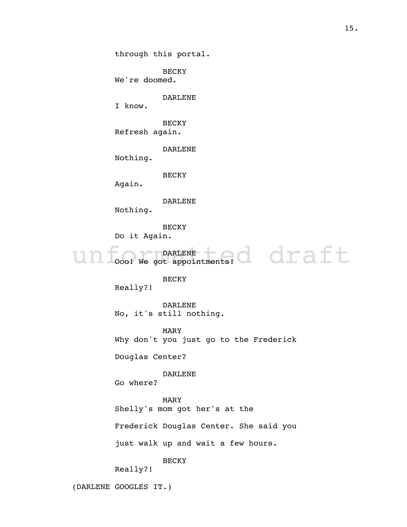through this portal.

BECKY We're doomed.

DARLENE

I know.

BECKY Refresh again.

DARLENE

Nothing.

BECKY

Again.

DARLENE

Nothing.

BECKY

Do it Again.

un food we got appointments! draft DARLENE Ooo! We got appointments!

#### BECKY

Really?!

DARLENE No, it's still nothing.

MARY Why don't you just go to the Frederick

Douglas Center?

DARLENE

Go where?

#### MARY

Shelly's mom got her's at the

Frederick Douglas Center. She said you

just walk up and wait a few hours.

BECKY

Really?!

(DARLENE GOOGLES IT.)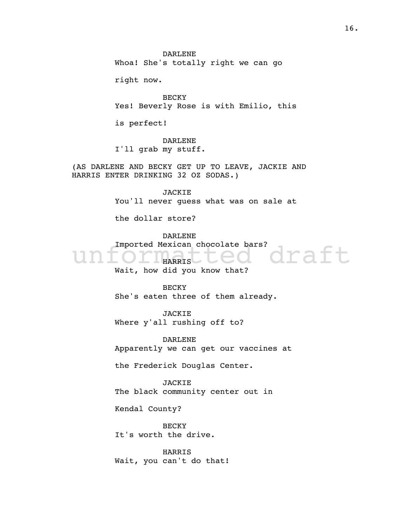DARLENE Whoa! She's totally right we can go

right now.

BECKY Yes! Beverly Rose is with Emilio, this

is perfect!

DARLENE I'll grab my stuff.

(AS DARLENE AND BECKY GET UP TO LEAVE, JACKIE AND HARRIS ENTER DRINKING 32 OZ SODAS.)

> JACKIE You'll never guess what was on sale at

the dollar store?

DARLENE

Imported Mexican chocolate bars?<br>
Unformation and you know that?

HARRIS Wait, how did you know that?

**BECKY** She's eaten three of them already.

JACKIE Where y'all rushing off to?

DARLENE Apparently we can get our vaccines at

the Frederick Douglas Center.

JACKIE The black community center out in

Kendal County?

BECKY It's worth the drive.

HARRIS Wait, you can't do that!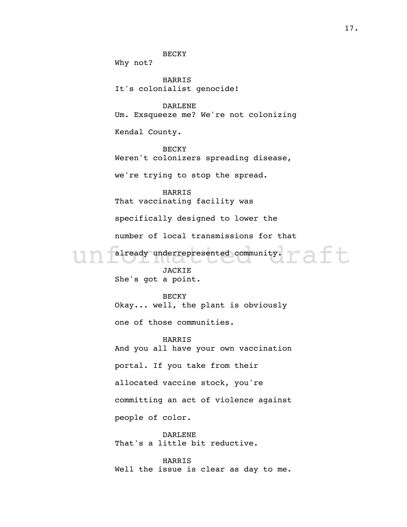underrepresented community. The final state of the state of the state of the state of the state of the state of the state of the state of the state of the state of the state of the state of the state of the state of the st **BECKY** Why not? HARRIS It's colonialist genocide! DARLENE Um. Exsqueeze me? We're not colonizing Kendal County. BECKY Weren't colonizers spreading disease, we're trying to stop the spread. HARRIS That vaccinating facility was specifically designed to lower the number of local transmissions for that already underrepresented community. JACKIE She's got a point. BECKY Okay... well, the plant is obviously one of those communities. HARRIS And you all have your own vaccination portal. If you take from their allocated vaccine stock, you're committing an act of violence against people of color. DARLENE That's a little bit reductive.

> HARRIS Well the issue is clear as day to me.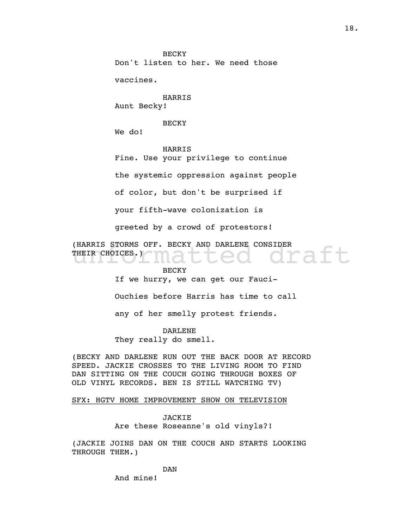**BECKY** Don't listen to her. We need those

vaccines.

HARRIS Aunt Becky!

BECKY

We do!

HARRIS

Fine. Use your privilege to continue

the systemic oppression against people

of color, but don't be surprised if

your fifth-wave colonization is

greeted by a crowd of protestors!

(HARRIS STORMS OFF. BECKY AND DARLENE CONSIDER<br>THEIR CHOICES.)<br>RECKY THEIR CHOICES.)

#### BECKY

If we hurry, we can get our Fauci-

Ouchies before Harris has time to call

any of her smelly protest friends.

#### DARLENE

They really do smell.

(BECKY AND DARLENE RUN OUT THE BACK DOOR AT RECORD SPEED. JACKIE CROSSES TO THE LIVING ROOM TO FIND DAN SITTING ON THE COUCH GOING THROUGH BOXES OF OLD VINYL RECORDS. BEN IS STILL WATCHING TV)

#### SFX: HGTV HOME IMPROVEMENT SHOW ON TELEVISION

JACKIE Are these Roseanne's old vinyls?!

(JACKIE JOINS DAN ON THE COUCH AND STARTS LOOKING THROUGH THEM.)

DAN

And mine!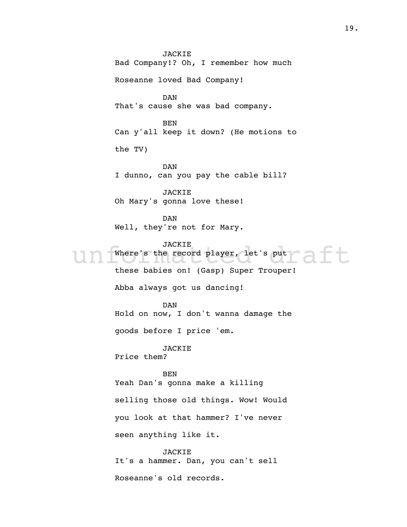JACKIE<br>
Where's the record player, let's put<br>
these behieve and (Casp) Super Treupor! JACKIE Bad Company!? Oh, I remember how much Roseanne loved Bad Company! DAN That's cause she was bad company. BEN Can y'all keep it down? (He motions to the TV) DAN I dunno, can you pay the cable bill? JACKIE Oh Mary's gonna love these! DAN Well, they're not for Mary. **JACKIE** Where's the record player, let's put these babies on! (Gasp) Super Trouper! Abba always got us dancing! DAN Hold on now, I don't wanna damage the goods before I price 'em. JACKIE Price them? BEN Yeah Dan's gonna make a killing selling those old things. Wow! Would you look at that hammer? I've never seen anything like it. JACKIE It's a hammer. Dan, you can't sell

Roseanne's old records.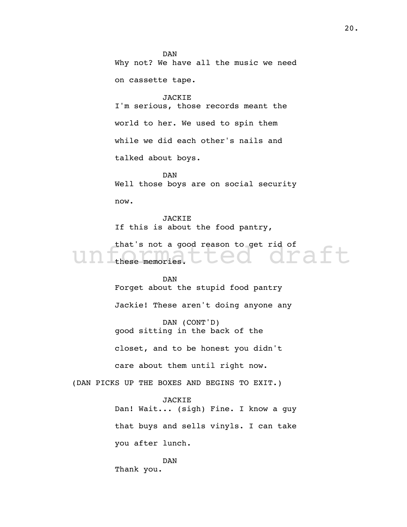DAN Why not? We have all the music we need on cassette tape.

JACKIE I'm serious, those records meant the world to her. We used to spin them while we did each other's nails and talked about boys.

DAN Well those boys are on social security now.

JACKIE If this is about the food pantry,

that's not a good reason to get rid of<br>
these memories.  $C_{\text{e}}$  of a ft these memories.

> DAN Forget about the stupid food pantry

> Jackie! These aren't doing anyone any

DAN (CONT'D) good sitting in the back of the

closet, and to be honest you didn't

care about them until right now.

(DAN PICKS UP THE BOXES AND BEGINS TO EXIT.)

JACKIE

Dan! Wait... (sigh) Fine. I know a guy that buys and sells vinyls. I can take you after lunch.

DAN Thank you.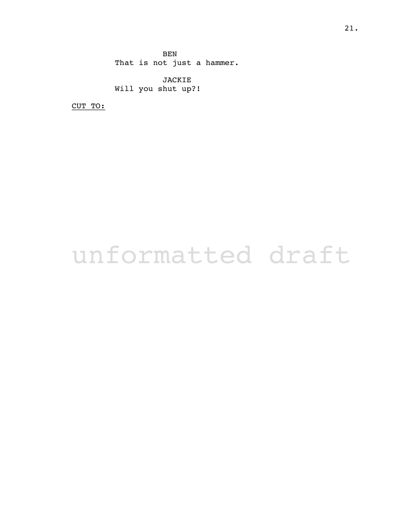BEN That is not just a hammer.

JACKIE Will you shut up?!

CUT TO: \_\_\_\_\_\_\_

### unformatted draft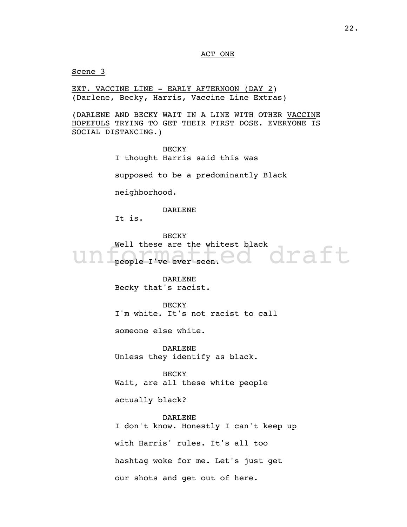#### ACT ONE

Scene 3

EXT. VACCINE LINE - EARLY AFTERNOON (DAY 2) (Darlene, Becky, Harris, Vaccine Line Extras)

(DARLENE AND BECKY WAIT IN A LINE WITH OTHER VACCINE HOPEFULS TRYING TO GET THEIR FIRST DOSE. EVERYONE IS SOCIAL DISTANCING.)

> BECKY I thought Harris said this was

supposed to be a predominantly Black

neighborhood.

DARLENE

It is.

unformatted draft **BECKY** Well these are the whitest black people I've ever seen.

> DARLENE Becky that's racist.

BECKY I'm white. It's not racist to call

someone else white.

DARLENE Unless they identify as black.

BECKY Wait, are all these white people

actually black?

DARLENE I don't know. Honestly I can't keep up with Harris' rules. It's all too hashtag woke for me. Let's just get our shots and get out of here.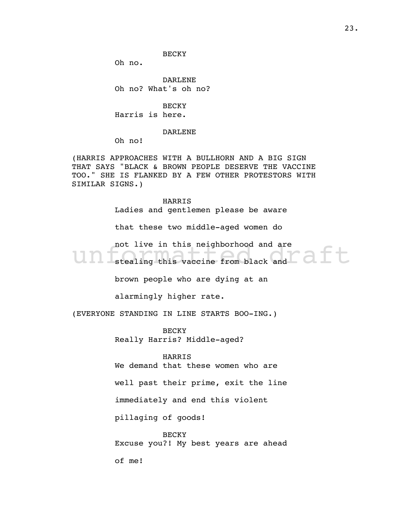**BECKY** 

Oh no.

DARLENE Oh no? What's oh no?

**BECKY** Harris is here.

DARLENE

Oh no!

(HARRIS APPROACHES WITH A BULLHORN AND A BIG SIGN THAT SAYS "BLACK & BROWN PEOPLE DESERVE THE VACCINE TOO." SHE IS FLANKED BY A FEW OTHER PROTESTORS WITH SIMILAR SIGNS.)

> HARRIS Ladies and gentlemen please be aware

that these two middle-aged women do

not live in this neighborhood and are<br>stealing this vaccine from black and not live in this neighborhood and are

brown people who are dying at an

alarmingly higher rate.

(EVERYONE STANDING IN LINE STARTS BOO-ING.)

BECKY Really Harris? Middle-aged?

HARRIS

We demand that these women who are

well past their prime, exit the line

immediately and end this violent

pillaging of goods!

BECKY Excuse you?! My best years are ahead

of me!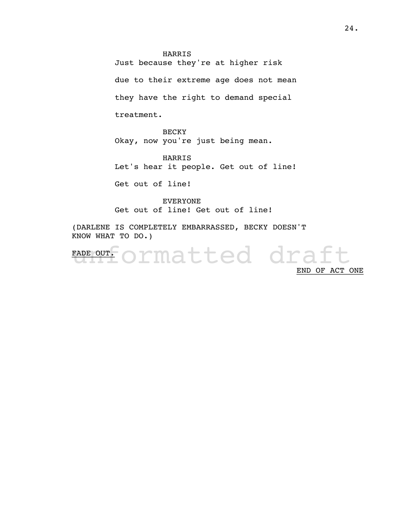HARRIS

Just because they're at higher risk

due to their extreme age does not mean

they have the right to demand special

treatment.

**BECKY** Okay, now you're just being mean.

HARRIS Let's hear it people. Get out of line!

Get out of line!

EVERYONE Get out of line! Get out of line!

(DARLENE IS COMPLETELY EMBARRASSED, BECKY DOESN'T KNOW WHAT TO DO.)

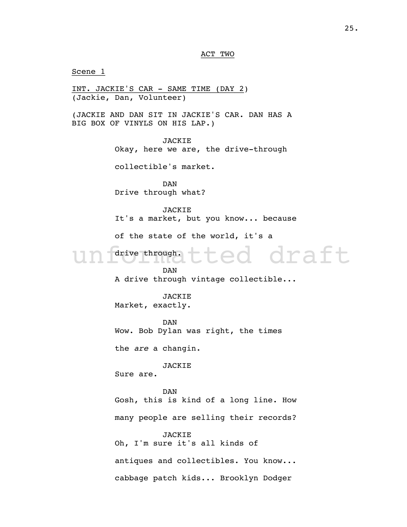ted draft Scene 1 INT. JACKIE'S CAR - SAME TIME (DAY 2) (Jackie, Dan, Volunteer) (JACKIE AND DAN SIT IN JACKIE'S CAR. DAN HAS A BIG BOX OF VINYLS ON HIS LAP.) JACKIE Okay, here we are, the drive-through collectible's market. DAN Drive through what? JACKIE It's a market, but you know... because of the state of the world, it's a drive through. DAN A drive through vintage collectible... JACKIE Market, exactly. DAN Wow. Bob Dylan was right, the times the are a changin. JACKIE Sure are. DAN Gosh, this is kind of a long line. How many people are selling their records? JACKIE Oh, I'm sure it's all kinds of antiques and collectibles. You know... cabbage patch kids... Brooklyn Dodger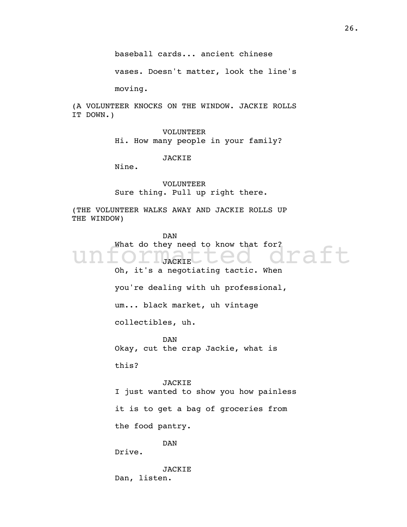vases. Doesn't matter, look the line's

moving.

(A VOLUNTEER KNOCKS ON THE WINDOW. JACKIE ROLLS IT DOWN.)

> VOLUNTEER Hi. How many people in your family?

> > JACKIE

Nine.

VOLUNTEER Sure thing. Pull up right there.

(THE VOLUNTEER WALKS AWAY AND JACKIE ROLLS UP THE WINDOW)

What do they need to know that for?<br>
Unformatted draft to Contact the Magnetic Whore on the Superiorius tration when DAN JACKIE Oh, it's a negotiating tactic. When you're dealing with uh professional, um... black market, uh vintage collectibles, uh. DAN Okay, cut the crap Jackie, what is this? JACKIE I just wanted to show you how painless it is to get a bag of groceries from the food pantry. DAN Drive.

> JACKIE Dan, listen.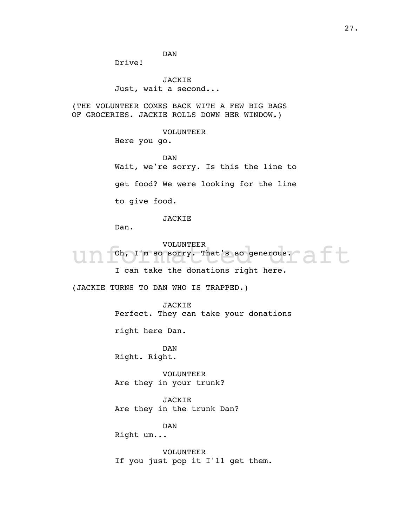DAN

Drive!

JACKIE Just, wait a second...

(THE VOLUNTEER COMES BACK WITH A FEW BIG BAGS OF GROCERIES. JACKIE ROLLS DOWN HER WINDOW.)

VOLUNTEER

Here you go.

DAN Wait, we're sorry. Is this the line to get food? We were looking for the line to give food.

JACKIE

Dan.

VOLUNTEER<br>
Oh, I'm so sorry. That's so generous.<br>
I are take the denations right here. VOLUNTEER Oh, I'm so sorry. That's so generous. I can take the donations right here.

(JACKIE TURNS TO DAN WHO IS TRAPPED.)

JACKIE Perfect. They can take your donations

right here Dan.

DAN Right. Right.

VOLUNTEER Are they in your trunk?

JACKIE Are they in the trunk Dan?

DAN

Right um...

VOLUNTEER If you just pop it I'll get them.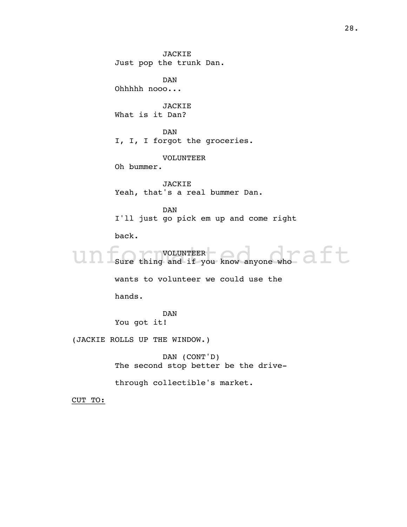Un Sure thing and if you know anyone who JACKIE Just pop the trunk Dan. DAN Ohhhhh nooo... JACKIE What is it Dan? DAN I, I, I forgot the groceries. VOLUNTEER Oh bummer. JACKIE Yeah, that's a real bummer Dan. DAN I'll just go pick em up and come right back. VOLUNTEER Sure thing and if you know anyone who wants to volunteer we could use the hands. DAN You got it! (JACKIE ROLLS UP THE WINDOW.) DAN (CONT'D)

The second stop better be the drive-

through collectible's market.

CUT TO: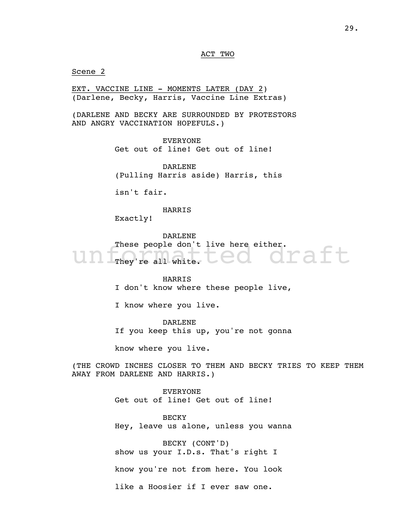ACT TWO

Scene 2

EXT. VACCINE LINE - MOMENTS LATER (DAY 2) (Darlene, Becky, Harris, Vaccine Line Extras)

(DARLENE AND BECKY ARE SURROUNDED BY PROTESTORS AND ANGRY VACCINATION HOPEFULS.)

> EVERYONE Get out of line! Get out of line!

DARLENE (Pulling Harris aside) Harris, this

isn't fair.

HARRIS

Exactly!

draft DARLENE These people don't live here either. They're all white.

> HARRIS I don't know where these people live,

I know where you live.

DARLENE If you keep this up, you're not gonna

know where you live.

(THE CROWD INCHES CLOSER TO THEM AND BECKY TRIES TO KEEP THEM AWAY FROM DARLENE AND HARRIS.)

> EVERYONE Get out of line! Get out of line!

**BECKY** Hey, leave us alone, unless you wanna

BECKY (CONT'D) show us your I.D.s. That's right I

know you're not from here. You look

like a Hoosier if I ever saw one.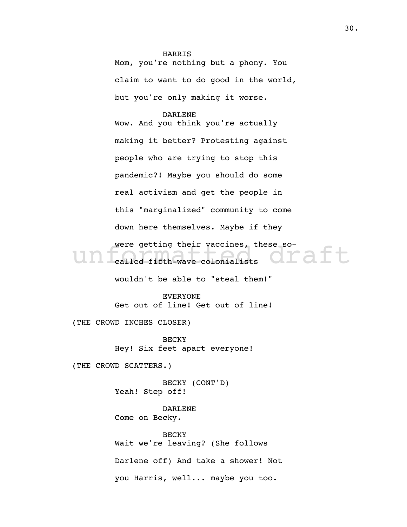HARRIS Mom, you're nothing but a phony. You claim to want to do good in the world, but you're only making it worse.

were getting their vaccines, these so-<br>
called fifth-wave colonialists<br>
CIP Called fifth-wave colonialists DARLENE Wow. And you think you're actually making it better? Protesting against people who are trying to stop this pandemic?! Maybe you should do some real activism and get the people in this "marginalized" community to come down here themselves. Maybe if they called fifth-wave colonialists

wouldn't be able to "steal them!"

EVERYONE Get out of line! Get out of line!

(THE CROWD INCHES CLOSER)

**BECKY** Hey! Six feet apart everyone!

(THE CROWD SCATTERS.)

BECKY (CONT'D) Yeah! Step off!

DARLENE Come on Becky.

**BECKY** Wait we're leaving? (She follows Darlene off) And take a shower! Not you Harris, well... maybe you too.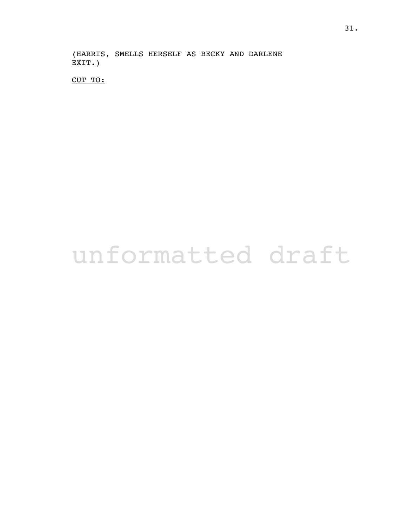(HARRIS, SMELLS HERSELF AS BECKY AND DARLENE EXIT.)

CUT TO:

# unformatted draft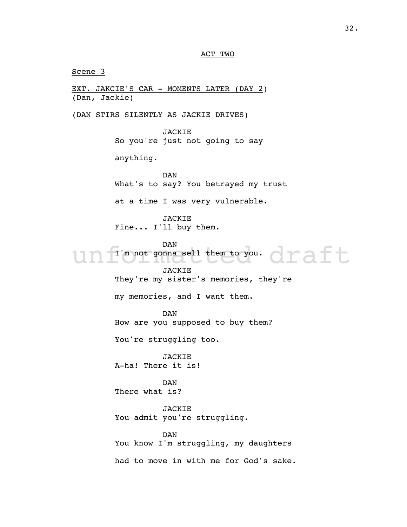ACT TWO

Un I'm not gonna sell them to you. Oraft Scene 3 EXT. JAKCIE'S CAR - MOMENTS LATER (DAY 2) (Dan, Jackie) (DAN STIRS SILENTLY AS JACKIE DRIVES) JACKIE So you're just not going to say anything. DAN What's to say? You betrayed my trust at a time I was very vulnerable. JACKIE Fine... I'll buy them. DAN I'm not gonna sell them to you. JACKIE They're my sister's memories, they're my memories, and I want them. DAN How are you supposed to buy them? You're struggling too. JACKIE A-ha! There it is! DAN There what is? JACKIE You admit you're struggling. DAN You know I'm struggling, my daughters had to move in with me for God's sake.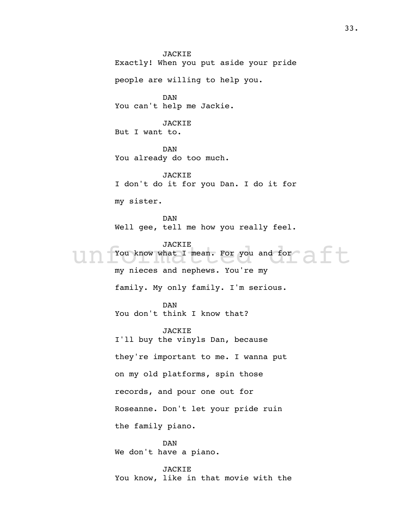VOU know what I mean. For you and for JACKIE Exactly! When you put aside your pride people are willing to help you. DAN You can't help me Jackie. JACKIE But I want to. DAN You already do too much. JACKIE I don't do it for you Dan. I do it for my sister. DAN Well gee, tell me how you really feel. **JACKIE** You know what I mean. For you and for my nieces and nephews. You're my family. My only family. I'm serious. DAN You don't think I know that? JACKIE I'll buy the vinyls Dan, because they're important to me. I wanna put on my old platforms, spin those records, and pour one out for Roseanne. Don't let your pride ruin the family piano. DAN We don't have a piano. JACKIE You know, like in that movie with the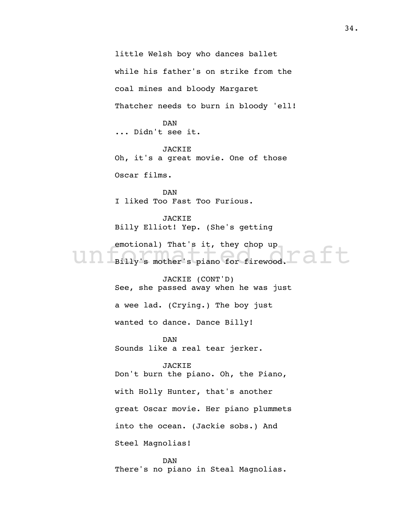emotional) That's it, they chop up<br>Billy's mother's piano for firewood. little Welsh boy who dances ballet while his father's on strike from the coal mines and bloody Margaret Thatcher needs to burn in bloody 'ell! DAN ... Didn't see it. JACKIE Oh, it's a great movie. One of those Oscar films. DAN I liked Too Fast Too Furious. JACKIE Billy Elliot! Yep. (She's getting emotional) That's it, they chop up JACKIE (CONT'D) See, she passed away when he was just a wee lad. (Crying.) The boy just wanted to dance. Dance Billy! DAN Sounds like a real tear jerker. JACKIE Don't burn the piano. Oh, the Piano, with Holly Hunter, that's another great Oscar movie. Her piano plummets into the ocean. (Jackie sobs.) And Steel Magnolias!

DAN There's no piano in Steal Magnolias.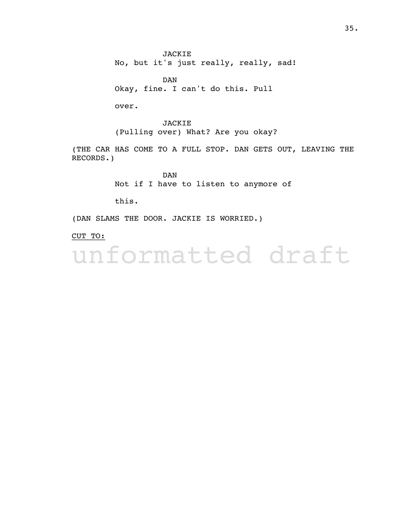JACKIE No, but it's just really, really, sad!

DAN Okay, fine. I can't do this. Pull

over.

JACKIE (Pulling over) What? Are you okay?

(THE CAR HAS COME TO A FULL STOP. DAN GETS OUT, LEAVING THE RECORDS.)

> DAN Not if I have to listen to anymore of

this.

(DAN SLAMS THE DOOR. JACKIE IS WORRIED.)

CUT TO: \_\_\_\_\_\_\_

unformatted draft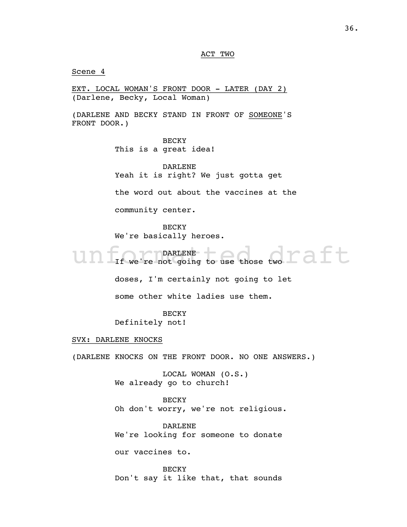ACT TWO

Scene 4

EXT. LOCAL WOMAN'S FRONT DOOR - LATER (DAY 2) (Darlene, Becky, Local Woman)

(DARLENE AND BECKY STAND IN FRONT OF SOMEONE'S FRONT DOOR.)

> BECKY This is a great idea!

DARLENE Yeah it is right? We just gotta get

the word out about the vaccines at the

community center.

BECKY We're basically heroes.

Un If we're not going to use those two I aft DARLENE If we're not going to use those two

doses, I'm certainly not going to let

some other white ladies use them.

**BECKY** 

Definitely not!

SVX: DARLENE KNOCKS

(DARLENE KNOCKS ON THE FRONT DOOR. NO ONE ANSWERS.)

LOCAL WOMAN (O.S.) We already go to church!

BECKY

Oh don't worry, we're not religious.

DARLENE We're looking for someone to donate

our vaccines to.

**BECKY** Don't say it like that, that sounds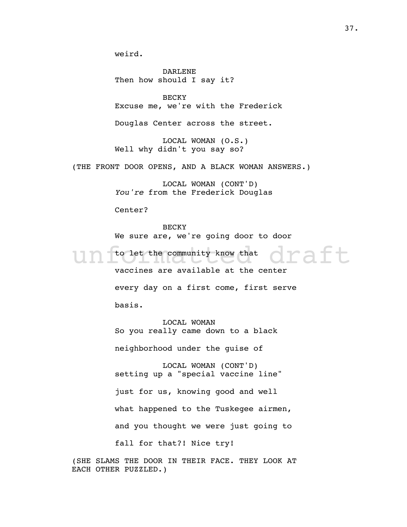weird.

DARLENE Then how should I say it?

BECKY Excuse me, we're with the Frederick

Douglas Center across the street.

LOCAL WOMAN (O.S.) Well why didn't you say so?

(THE FRONT DOOR OPENS, AND A BLACK WOMAN ANSWERS.)

LOCAL WOMAN (CONT'D) from the Frederick Douglas *You're* 

Center?

**BECKY** We sure are, we're going door to door

Un folet the community know that Oraft to let the community know that vaccines are available at the center every day on a first come, first serve basis.

> LOCAL WOMAN So you really came down to a black neighborhood under the guise of

LOCAL WOMAN (CONT'D) setting up a "special vaccine line" just for us, knowing good and well what happened to the Tuskegee airmen, and you thought we were just going to fall for that?! Nice try!

(SHE SLAMS THE DOOR IN THEIR FACE. THEY LOOK AT EACH OTHER PUZZLED.)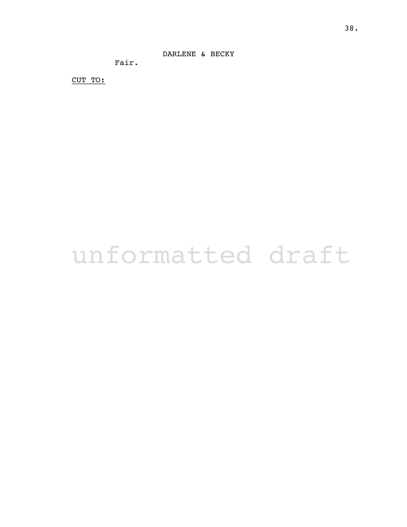DARLENE & BECKY

Fair.

CUT TO:

# unformatted draft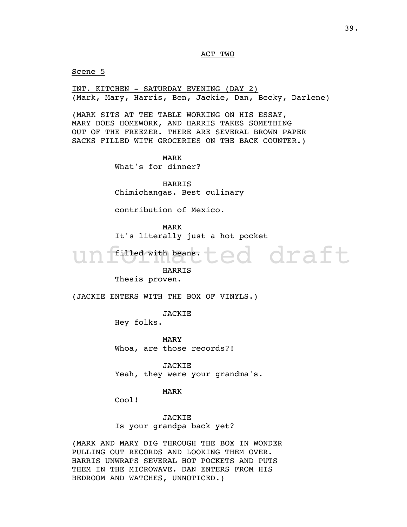#### ACT TWO

Scene 5

INT. KITCHEN - SATURDAY EVENING (DAY 2) (Mark, Mary, Harris, Ben, Jackie, Dan, Becky, Darlene)

(MARK SITS AT THE TABLE WORKING ON HIS ESSAY, MARY DOES HOMEWORK, AND HARRIS TAKES SOMETHING OUT OF THE FREEZER. THERE ARE SEVERAL BROWN PAPER SACKS FILLED WITH GROCERIES ON THE BACK COUNTER.)

> MARK What's for dinner?

HARRIS Chimichangas. Best culinary

contribution of Mexico.

MARK It's literally just a hot pocket

ted draft

filled with beans.

HARRIS

Thesis proven.

(JACKIE ENTERS WITH THE BOX OF VINYLS.)

JACKIE

Hey folks.

MARY Whoa, are those records?!

JACKIE Yeah, they were your grandma's.

#### MARK

Cool!

**JACKIE** Is your grandpa back yet?

(MARK AND MARY DIG THROUGH THE BOX IN WONDER PULLING OUT RECORDS AND LOOKING THEM OVER. HARRIS UNWRAPS SEVERAL HOT POCKETS AND PUTS THEM IN THE MICROWAVE. DAN ENTERS FROM HIS BEDROOM AND WATCHES, UNNOTICED.)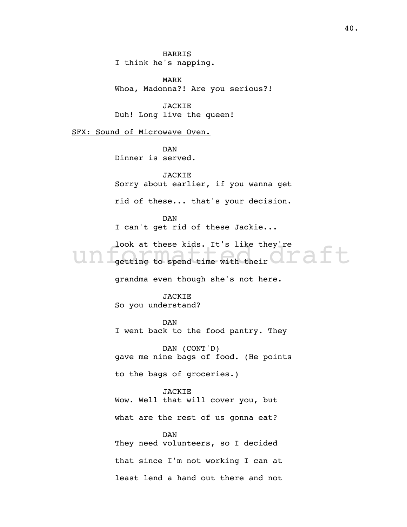HARRIS I think he's napping.

MARK Whoa, Madonna?! Are you serious?!

JACKIE Duh! Long live the queen!

SFX: Sound of Microwave Oven.

DAN Dinner is served.

JACKIE Sorry about earlier, if you wanna get

rid of these... that's your decision.

DAN I can't get rid of these Jackie...

Look at these kids. It's like they're<br>getting to spend time with their look at these kids. It's like they're<br>offing to spend time with their

grandma even though she's not here.

JACKIE So you understand?

DAN I went back to the food pantry. They

DAN (CONT'D) gave me nine bags of food. (He points

to the bags of groceries.)

JACKIE Wow. Well that will cover you, but what are the rest of us gonna eat?

DAN They need volunteers, so I decided that since I'm not working I can at least lend a hand out there and not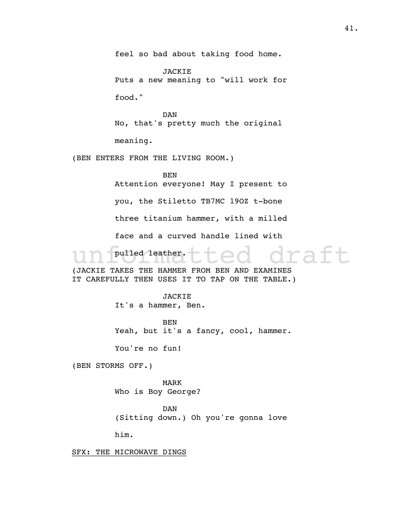feel so bad about taking food home.

JACKIE Puts a new meaning to "will work for

food."

DAN No, that's pretty much the original

meaning.

(BEN ENTERS FROM THE LIVING ROOM.)

BEN

raft Attention everyone! May I present to you, the Stiletto TB7MC 19OZ t-bone three titanium hammer, with a milled face and a curved handle lined with pulled leather. (JACKIE TAKES THE HAMMER FROM BEN AND EXAMINES IT CAREFULLY THEN USES IT TO TAP ON THE TABLE.)

> JACKIE It's a hammer, Ben.

BEN Yeah, but it's a fancy, cool, hammer.

You're no fun!

(BEN STORMS OFF.)

MARK Who is Boy George?

DAN (Sitting down.) Oh you're gonna love

him.

SFX: THE MICROWAVE DINGS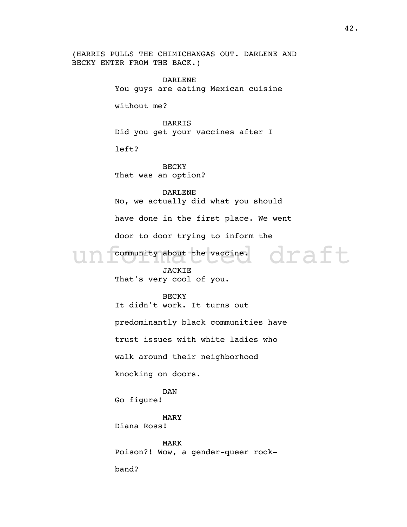(HARRIS PULLS THE CHIMICHANGAS OUT. DARLENE AND BECKY ENTER FROM THE BACK.)

> nity about the vaccine. DARLENE You guys are eating Mexican cuisine without me? HARRIS Did you get your vaccines after I left? BECKY That was an option? DARLENE No, we actually did what you should have done in the first place. We went door to door trying to inform the community about the vaccine. JACKIE That's very cool of you. BECKY It didn't work. It turns out predominantly black communities have trust issues with white ladies who walk around their neighborhood knocking on doors. DAN Go figure! MARY Diana Ross! MARK Poison?! Wow, a gender-queer rockband?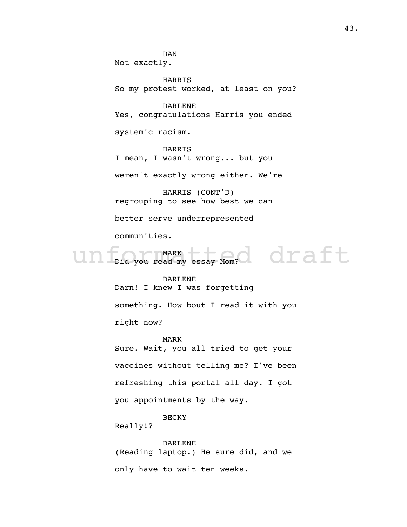DAN Not exactly.

HARRIS So my protest worked, at least on you?

DARLENE Yes, congratulations Harris you ended

systemic racism.

HARRIS I mean, I wasn't wrong... but you

weren't exactly wrong either. We're

HARRIS (CONT'D) regrouping to see how best we can

better serve underrepresented

communities.

unf<sub>Did you</sub> read my essay Mom? draft MARK Did you read my essay Mom?

> DARLENE Darn! I knew I was forgetting something. How bout I read it with you

right now?

MARK Sure. Wait, you all tried to get your vaccines without telling me? I've been refreshing this portal all day. I got you appointments by the way.

**BECKY** 

Really!?

DARLENE (Reading laptop.) He sure did, and we only have to wait ten weeks.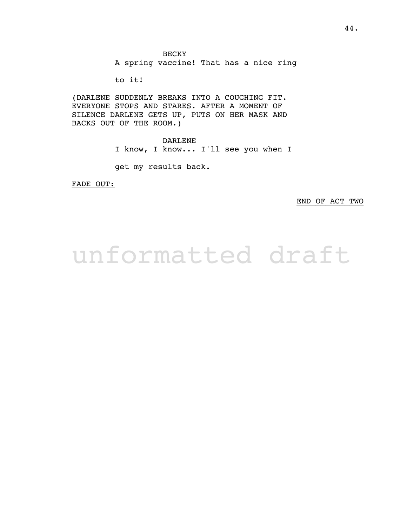A spring vaccine! That has a nice ring

to it!

(DARLENE SUDDENLY BREAKS INTO A COUGHING FIT. EVERYONE STOPS AND STARES. AFTER A MOMENT OF SILENCE DARLENE GETS UP, PUTS ON HER MASK AND BACKS OUT OF THE ROOM.)

> DARLENE I know, I know... I'll see you when I

get my results back.

FADE OUT:

END OF ACT TWO

### unformatted draft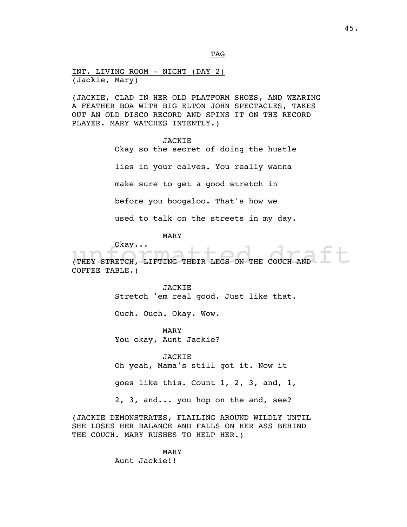INT. LIVING ROOM - NIGHT (DAY 2) (Jackie, Mary)

 $_{\rm TAG}$ 

(JACKIE, CLAD IN HER OLD PLATFORM SHOES, AND WEARING A FEATHER BOA WITH BIG ELTON JOHN SPECTACLES, TAKES OUT AN OLD DISCO RECORD AND SPINS IT ON THE RECORD PLAYER. MARY WATCHES INTENTLY.)

#### JACKIE

Okay so the secret of doing the hustle lies in your calves. You really wanna make sure to get a good stretch in before you boogaloo. That's how we used to talk on the streets in my day.

MARY

 $\overline{\phantom{a}}$  okay...

ORAY...<br>(THEY STRETCH, LIFTING THEIR LEGS ON THE COUCH AND COFFEE TABLE.)

> JACKIE Stretch 'em real good. Just like that.

Ouch. Ouch. Okay. Wow.

MARY You okay, Aunt Jackie?

JACKIE Oh yeah, Mama's still got it. Now it

goes like this. Count 1, 2, 3, and, 1,

2, 3, and... you hop on the and, see?

(JACKIE DEMONSTRATES, FLAILING AROUND WILDLY UNTIL SHE LOSES HER BALANCE AND FALLS ON HER ASS BEHIND THE COUCH. MARY RUSHES TO HELP HER.)

> MARY Aunt Jackie!!